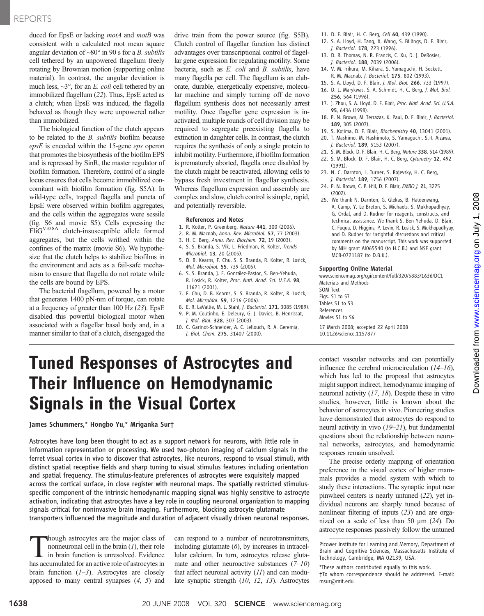## REPORTS

duced for EpsE or lacking *motA* and *motB* was consistent with a calculated root mean square angular deviation of  $~80^{\circ}$  in 90 s for a *B*. *subtilis* cell tethered by an unpowered flagellum freely rotating by Brownian motion (supporting online material). In contrast, the angular deviation is much less,  $\sim$ 3°, for an *E. coli* cell tethered by an immobilized flagellum (22). Thus, EpsE acted as a clutch; when EpsE was induced, the flagella behaved as though they were unpowered rather than immobilized.

The biological function of the clutch appears to be related to the B. subtilis biofilm because epsE is encoded within the 15-gene eps operon that promotes the biosynthesis of the biofilm EPS and is repressed by SinR, the master regulator of biofilm formation. Therefore, control of a single locus ensures that cells become immobilized concomitant with biofilm formation (fig. S5A). In wild-type cells, trapped flagella and puncta of EpsE were observed within biofilm aggregates, and the cells within the aggregates were sessile (fig. S6 and movie S5). Cells expressing the FliGV338A clutch-insusceptible allele formed aggregates, but the cells writhed within the confines of the matrix (movie S6). We hypothesize that the clutch helps to stabilize biofilms in the environment and acts as a fail-safe mechanism to ensure that flagella do not rotate while the cells are bound by EPS.

The bacterial flagellum, powered by a motor that generates 1400 pN-nm of torque, can rotate at a frequency of greater than 100 Hz (23). EpsE disabled this powerful biological motor when associated with a flagellar basal body and, in a manner similar to that of a clutch, disengaged the drive train from the power source (fig. S5B). Clutch control of flagellar function has distinct advantages over transcriptional control of flagellar gene expression for regulating motility. Some bacteria, such as E. coli and B. subtilis, have many flagella per cell. The flagellum is an elaborate, durable, energetically expensive, molecular machine and simply turning off de novo flagellum synthesis does not necessarily arrest motility. Once flagellar gene expression is inactivated, multiple rounds of cell division may be required to segregate preexisting flagella to extinction in daughter cells. In contrast, the clutch requires the synthesis of only a single protein to inhibit motility. Furthermore, if biofilm formation is prematurely aborted, flagella once disabled by the clutch might be reactivated, allowing cells to bypass fresh investment in flagellar synthesis. Whereas flagellum expression and assembly are complex and slow, clutch control is simple, rapid, and potentially reversible.

#### References and Notes

- 1. R. Kolter, P. Greenberg, Nature 441, 300 (2006).
- 2. R. M. Macnab, Annu. Rev. Microbiol. 57, 77 (2003).
- 3. H. C. Berg, Annu. Rev. Biochem. 72, 19 (2003).
- 4. S. S. Branda, S. Vik, L. Friedman, R. Kolter, Trends Microbiol. 13, 20 (2005).
- 5. D. B. Kearns, F. Chu, S. S. Branda, R. Kolter, R. Losick, Mol. Microbiol. 55, 739 (2005).
- 6. S. S. Branda, J. E. González-Pastor, S. Ben-Yehuda, R. Losick, R. Kolter, Proc. Natl. Acad. Sci. U.S.A. 98, 11621 (2001).
- 7. F. Chu, D. B. Kearns, S. S. Branda, R. Kolter, R. Losick, Mol. Microbiol. 59, 1216 (2006).
- 8. E. R. LaVallie, M. L. Stahl, J. Bacteriol. 171, 3085 (1989). 9. P. M. Coutinho, E. Deleury, G. J. Davies, B. Henrissat,
- J. Mol. Biol. 328, 307 (2003). 10. C. Garinot-Schneider, A. C. Lellouch, R. A. Geremia,
	- J. Biol. Chem. 275, 31407 (2000).
- 11. D. F. Blair, H. C. Berg, Cell 60, 439 (1990).
- 12. S. A. Lloyd, H. Tang, X. Wang, S. Billings, D. F. Blair, J. Bacteriol. 178, 223 (1996).
- 13. D. R. Thomas, N. R. Francis, C. Xu, D. J. DeRosier, J. Bacteriol. 188, 7039 (2006).
- 14. V. M. Irikura, M. Kihara, S. Yamaguchi, H. Sockett, R. M. Macnab, J. Bacteriol. 175, 802 (1993).
- 15. S. A. Lloyd, D. F. Blair, J. Mol. Biol. 266, 733 (1997).
- 16. D. L. Marykwas, S. A. Schmidt, H. C. Berg, J. Mol. Biol. 256, 564 (1996).
- 17. J. Zhou, S. A. Lloyd, D. F. Blair, Proc. Natl. Acad. Sci. U.S.A. 95, 6436 (1998).
- 18. P. N. Brown, M. Terrazas, K. Paul, D. F. Blair, J. Bacteriol. 189, 305 (2007).
- 19. S. Kojima, D. F. Blair, Biochemistry 40, 13041 (2001). 20. T. Mashimo, M. Hashimoto, S. Yamaguchi, S.-I. Aizawa,
- J. Bacteriol. 189, 5153 (2007).
- 21. S. M. Block, D. F. Blair, H. C. Berg, Nature 338, 514 (1989). 22. S. M. Block, D. F. Blair, H. C. Berg, Cytometry 12, 492 (1991).
- 23. N. C. Darnton, L. Turner, S. Rojevsky, H. C. Berg, J. Bacteriol. 189, 1756 (2007).
- 24. P. N. Brown, C. P. Hill, D. F. Blair, EMBO J. 21, 3225 (2002).
- 25. We thank N. Darnton, G. Glekas, B. Haldenwang, A. Camp, Y. Le Breton, S. Michaels, S. Mukhopadhyay, G. Ordal, and D. Rudner for reagents, constructs, and technical assistance. We thank S. Ben Yehuda, D. Blair, C. Fuqua, D. Higgins, P. Levin, R. Losick, S. Mukhopadhyay, and D. Rudner for insightful discussions and critical comments on the manuscript. This work was supported by NIH grant AI065540 (to H.C.B.) and NSF grant MCB-0721187 (to D.B.K.).

### Supporting Online Material

www.sciencemag.org/cgi/content/full/320/5883/1636/DC1 Materials and Methods SOM Text Figs. S1 to S7

Tables S1 to S3 References Movies S1 to S6 17 March 2008; accepted 22 April 2008

10.1126/science.1157877

# Tuned Responses of Astrocytes and Their Influence on Hemodynamic Signals in the Visual Cortex

James Schummers,\* Hongbo Yu,\* Mriganka Sur†

Astrocytes have long been thought to act as a support network for neurons, with little role in information representation or processing. We used two-photon imaging of calcium signals in the ferret visual cortex in vivo to discover that astrocytes, like neurons, respond to visual stimuli, with distinct spatial receptive fields and sharp tuning to visual stimulus features including orientation and spatial frequency. The stimulus-feature preferences of astrocytes were exquisitely mapped across the cortical surface, in close register with neuronal maps. The spatially restricted stimulusspecific component of the intrinsic hemodynamic mapping signal was highly sensitive to astrocyte activation, indicating that astrocytes have a key role in coupling neuronal organization to mapping signals critical for noninvasive brain imaging. Furthermore, blocking astrocyte glutamate transporters influenced the magnitude and duration of adjacent visually driven neuronal responses.

hough astrocytes are the major class of nonneuronal cell in the brain  $(1)$ , their role in brain function is unresolved. Evidence has accumulated for an active role of astrocytes in brain function  $(1-3)$ . Astrocytes are closely apposed to many central synapses (4, 5) and

can respond to a number of neurotransmitters, including glutamate  $(6)$ , by increases in intracellular calcium. In turn, astrocytes release glutamate and other neuroactive substances  $(7-10)$ that affect neuronal activity  $(11)$  and can modulate synaptic strength (10, 12, 13). Astrocytes

contact vascular networks and can potentially influence the cerebral microcirculation  $(14–16)$ , which has led to the proposal that astrocytes might support indirect, hemodynamic imaging of neuronal activity (17, 18). Despite these in vitro studies, however, little is known about the behavior of astrocytes in vivo. Pioneering studies have demonstrated that astrocytes do respond to neural activity in vivo (19–21), but fundamental questions about the relationship between neuronal networks, astrocytes, and hemodynamic responses remain unsolved.

The precise orderly mapping of orientation preference in the visual cortex of higher mammals provides a model system with which to study these interactions. The synaptic input near pinwheel centers is nearly untuned (22), yet individual neurons are sharply tuned because of nonlinear filtering of inputs (23) and are organized on a scale of less than 50  $\mu$ m (24). Do astrocyte responses passively follow the untuned

†To whom correspondence should be addressed. E-mail: msur@mit.edu

www.sciencemag.orgon July 1, 2008

Downloaded from www.sciencemag.org on July 1, 2008

Downloaded from

Picower Institute for Learning and Memory, Department of Brain and Cognitive Sciences, Massachusetts Institute of Technology, Cambridge, MA 02139, USA.

<sup>\*</sup>These authors contributed equally to this work.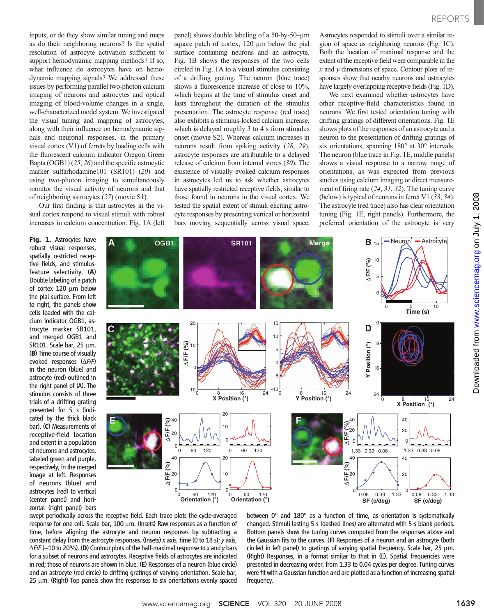inputs, or do they show similar tuning and maps as do their neighboring neurons? Is the spatial resolution of astrocyte activation sufficient to support hemodynamic mapping methods? If so, what influence do astrocytes have on hemodynamic mapping signals? We addressed these issues by performing parallel two-photon calcium imaging of neurons and astrocytes and optical imaging of blood-volume changes in a single, well-characterized model system. We investigated the visual tuning and mapping of astrocytes, along with their influence on hemodynamic signals and neuronal responses, in the primary visual cortex (V1) of ferrets by loading cells with the fluorescent calcium indicator Oregon Green Bapta (OGB1) (25, 26) and the specific astrocytic marker sulfarhodamine101 (SR101) (20) and using two-photon imaging to simultaneously monitor the visual activity of neurons and that of neighboring astrocytes (27) (movie S1).

Our first finding is that astrocytes in the visual cortex respond to visual stimuli with robust increases in calcium concentration. Fig. 1A (left

Fig. 1. Astrocytes have robust visual responses, spatially restricted receptive fields, and stimulusfeature selectivity. (A) Double labeling of a patch of cortex  $120 \mu m$  below the pial surface. From left to right, the panels show cells loaded with the calcium indicator OGB1, astrocyte marker SR101, and merged OGB1 and SR101. Scale bar,  $25 \mu m$ . (B) Time course of visually evoked responses  $(\Delta F/F)$ in the neuron (blue) and astrocyte (red) outlined in the right panel of (A). The stimulus consists of three trials of a drifting grating presented for 5 s (indicated by the thick black bar). (C) Measurements of receptive-field location and extent in a population of neurons and astrocytes, labeled green and purple, respectively, in the merged image at left. Responses of neurons (blue) and astrocytes (red) to vertical (center panel) and horizontal (right panel) bars panel) shows double labeling of a 50-by-50-um square patch of cortex, 120 µm below the pial surface containing neurons and an astrocyte. Fig. 1B shows the responses of the two cells circled in Fig. 1A to a visual stimulus consisting of a drifting grating. The neuron (blue trace) shows a fluorescence increase of close to 10%, which begins at the time of stimulus onset and lasts throughout the duration of the stimulus presentation. The astrocyte response (red trace) also exhibits a stimulus-locked calcium increase, which is delayed roughly 3 to 4 s from stimulus onset (movie S2). Whereas calcium increases in neurons result from spiking activity (28, 29), astrocyte responses are attributable to a delayed release of calcium from internal stores (30). The existence of visually evoked calcium responses in astrocytes led us to ask whether astrocytes have spatially restricted receptive fields, similar to those found in neurons in the visual cortex. We tested the spatial extent of stimuli eliciting astrocyte responses by presenting vertical or horizontal bars moving sequentially across visual space.

Astrocytes responded to stimuli over a similar region of space as neighboring neurons (Fig. 1C). Both the location of maximal response and the extent of the receptive field were comparable in the  $x$  and  $y$  dimensions of space. Contour plots of responses show that nearby neurons and astrocytes have largely overlapping receptive fields (Fig. 1D).

We next examined whether astrocytes have other receptive-field characteristics found in neurons. We first tested orientation tuning with drifting gratings of different orientations. Fig. 1E shows plots of the responses of an astrocyte and a neuron to the presentation of drifting gratings of six orientations, spanning 180° at 30° intervals. The neuron (blue trace in Fig. 1E, middle panels) shows a visual response to a narrow range of orientations, as was expected from previous studies using calcium imaging or direct measurement of firing rate (24, 31, 32). The tuning curve (below) is typical of neurons in ferret V1 (33, 34). The astrocyte (red trace) also has clear orientation tuning (Fig. 1E, right panels). Furthermore, the preferred orientation of the astrocyte is very



swept periodically across the receptive field. Each trace plots the cycle-averaged response for one cell. Scale bar,  $100 \mu m$ . (Insets) Raw responses as a function of time, before aligning the astrocyte and neuron responses by subtracting a constant delay from the astrocyte responses. (Insets) x axis, time (0 to 18 s); y axis,  $\Delta$ F/F (-10 to 20%). (D) Contour plots of the half-maximal response to x and y bars for a subset of neurons and astrocytes. Receptive fields of astrocytes are indicated in red; those of neurons are shown in blue. (E) Responses of a neuron (blue circle) and an astrocyte (red circle) to drifting gratings of varying orientation. Scale bar,  $25 \mu$ m. (Right) Top panels show the responses to six orientations evenly spaced between 0° and 180° as a function of time, as orientation is systematically changed. Stimuli lasting 5 s (dashed lines) are alternated with 5-s blank periods. Bottom panels show the tuning curves computed from the responses above and the Gaussian fits to the curves. (F) Responses of a neuron and an astrocyte (both circled in left panel) to gratings of varying spatial frequency. Scale bar, 25  $\mu$ m. (Right) Responses, in a format similar to that in (E). Spatial frequencies were presented in decreasing order, from 1.33 to 0.04 cycles per degree. Tuning curves were fit with a Gaussian function and are plotted as a function of increasing spatial frequency.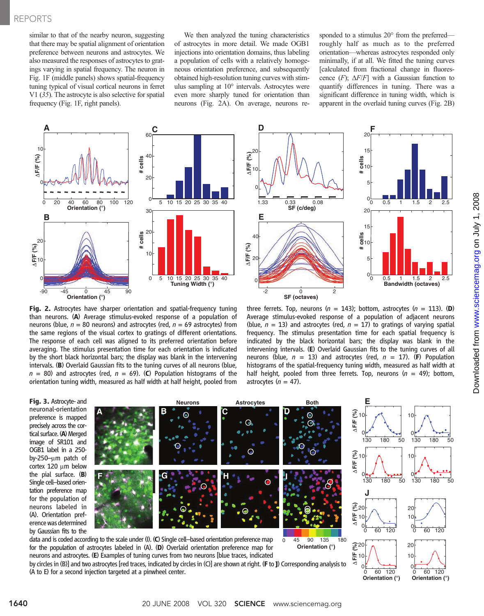similar to that of the nearby neuron, suggesting that there may be spatial alignment of orientation preference between neurons and astrocytes. We also measured the responses of astrocytes to gratings varying in spatial frequency. The neuron in Fig. 1F (middle panels) shows spatial-frequency tuning typical of visual cortical neurons in ferret V1 (35). The astrocyte is also selective for spatial frequency (Fig. 1F, right panels).

We then analyzed the tuning characteristics of astrocytes in more detail. We made OGB1 injections into orientation domains, thus labeling a population of cells with a relatively homogeneous orientation preference, and subsequently obtained high-resolution tuning curves with stimulus sampling at 10° intervals. Astrocytes were even more sharply tuned for orientation than neurons (Fig. 2A). On average, neurons re-

**D**

sponded to a stimulus 20° from the preferred roughly half as much as to the preferred orientation—whereas astrocytes responded only minimally, if at all. We fitted the tuning curves [calculated from fractional change in fluorescence  $(F)$ ;  $\Delta F/F$ ] with a Gaussian function to quantify differences in tuning. There was a significant difference in tuning width, which is apparent in the overlaid tuning curves (Fig. 2B)





Fig. 2. Astrocytes have sharper orientation and spatial-frequency tuning than neurons. (A) Average stimulus-evoked response of a population of neurons (blue,  $n = 80$  neurons) and astrocytes (red,  $n = 69$  astrocytes) from the same regions of the visual cortex to gratings of different orientations. The response of each cell was aligned to its preferred orientation before averaging. The stimulus presentation time for each orientation is indicated by the short black horizontal bars; the display was blank in the intervening intervals. (B) Overlaid Gaussian fits to the tuning curves of all neurons (blue,  $n = 80$ ) and astrocytes (red,  $n = 69$ ). (C) Population histograms of the orientation tuning width, measured as half width at half height, pooled from

three ferrets. Top, neurons ( $n = 143$ ); bottom, astrocytes ( $n = 113$ ). (D) Average stimulus-evoked response of a population of adjacent neurons (blue,  $n = 13$ ) and astrocytes (red,  $n = 17$ ) to gratings of varying spatial frequency. The stimulus presentation time for each spatial frequency is indicated by the black horizontal bars; the display was blank in the intervening intervals. (E) Overlaid Gaussian fits to the tuning curves of all neurons (blue,  $n = 13$ ) and astrocytes (red,  $n = 17$ ). (F) Population histograms of the spatial-frequency tuning width, measured as half width at half height, pooled from three ferrets. Top, neurons  $(n = 49)$ ; bottom, astrocytes  $(n = 47)$ .

Fig. 3. Astrocyte- and neuronal-orientation preference is mapped precisely across the cortical surface. (A) Merged image of SR101 and OGB1 label in a 250 by-250- $\mu$ m patch of cortex 120 um below the pial surface. (B) Single cell–based orientation preference map for the population of neurons labeled in (A). Orientation preference was determined by Gaussian fits to the



data and is coded according to the scale under (I). (C) Single cell–based orientation preference map for the population of astrocytes labeled in (A). (D) Overlaid orientation preference map for neurons and astrocytes. (E) Examples of tuning curves from two neurons [blue traces, indicated





by circles in (B)] and two astrocytes [red traces, indicated by circles in (C)] are shown at right. (F to J) Corresponding analysis to (A to E) for a second injection targeted at a pinwheel center.

50

50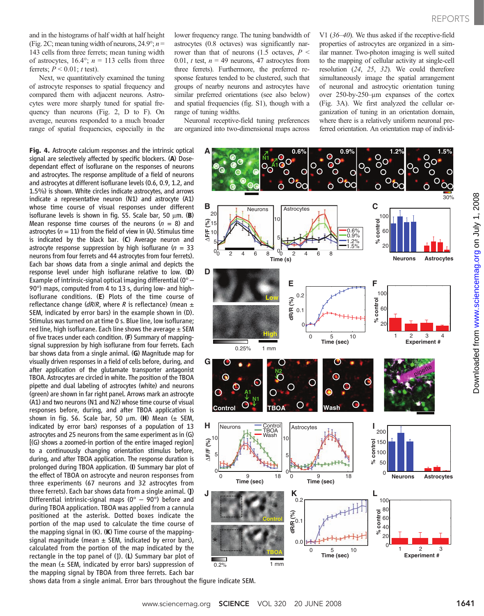www.sciencemag.orgon July 1, 2008

Downloaded from www.sciencemag.org on July 1, 2008

Downloaded from

and in the histograms of half width at half height (Fig. 2C; mean tuning width of neurons,  $24.9^\circ$ ;  $n =$ 143 cells from three ferrets; mean tuning width of astrocytes,  $16.4^\circ$ ;  $n = 113$  cells from three ferrets;  $P \le 0.01$ ; t test).

Next, we quantitatively examined the tuning of astrocyte responses to spatial frequency and compared them with adjacent neurons. Astrocytes were more sharply tuned for spatial frequency than neurons (Fig. 2, D to F). On average, neurons responded to a much broader range of spatial frequencies, especially in the

Fig. 4. Astrocyte calcium responses and the intrinsic optical signal are selectively affected by specific blockers. (A) Dosedependant effect of isoflurane on the responses of neurons and astrocytes. The response amplitude of a field of neurons and astrocytes at different isoflurane levels (0.6, 0.9, 1.2, and 1.5%) is shown. White circles indicate astrocytes, and arrows indicate a representative neuron (N1) and astrocyte (A1) whose time course of visual responses under different isoflurane levels is shown in fig. S5. Scale bar, 50  $\mu$ m. (B) Mean response time courses of the neurons  $(n = 8)$  and astrocytes ( $n = 11$ ) from the field of view in (A). Stimulus time is indicated by the black bar. (C) Average neuron and astrocyte response suppression by high isoflurane ( $n = 33$ ) neurons from four ferrets and 44 astrocytes from four ferrets). Each bar shows data from a single animal and depicts the response level under high isoflurane relative to low. (D) Example of intrinsic-signal optical imaging differential  $(0^{\circ} -$ 90°) maps, computed from 4 to 13 s, during low- and highisoflurane conditions. (E) Plots of the time course of reflectance change ( $dR/R$ , where R is reflectance) (mean  $\pm$ SEM, indicated by error bars) in the example shown in (D). Stimulus was turned on at time 0 s. Blue line, low isoflurane; red line, high isoflurane. Each line shows the average  $\pm$  SEM of five traces under each condition. (F) Summary of mappingsignal suppression by high isoflurane from four ferrets. Each bar shows data from a single animal. (G) Magnitude map for visually driven responses in a field of cells before, during, and after application of the glutamate transporter antagonist TBOA. Astrocytes are circled in white. The position of the TBOA pipette and dual labeling of astrocytes (white) and neurons (green) are shown in far right panel. Arrows mark an astrocyte (A1) and two neurons (N1 and N2) whose time course of visual responses before, during, and after TBOA application is shown in fig. S6. Scale bar, 50  $\mu$ m. (H) Mean ( $\pm$  SEM, indicated by error bars) responses of a population of 13 astrocytes and 25 neurons from the same experiment as in (G) [(G) shows a zoomed-in portion of the entire imaged region] to a continuously changing orientation stimulus before, during, and after TBOA application. The response duration is prolonged during TBOA application. (I) Summary bar plot of the effect of TBOA on astrocyte and neuron responses from three experiments (67 neurons and 32 astrocytes from three ferrets). Each bar shows data from a single animal. (J) Differential intrinsic-signal maps ( $0^{\circ}$  –  $90^{\circ}$ ) before and during TBOA application. TBOA was applied from a cannula positioned at the asterisk. Dotted boxes indicate the portion of the map used to calculate the time course of the mapping signal in (K). (K) Time course of the mappingsignal magnitude (mean  $\pm$  SEM, indicated by error bars), calculated from the portion of the map indicated by the rectangle in the top panel of  $(l)$ . (L) Summary bar plot of the mean  $(\pm$  SEM, indicated by error bars) suppression of the mapping signal by TBOA from three ferrets. Each bar

lower frequency range. The tuning bandwidth of astrocytes (0.8 octaves) was significantly narrower than that of neurons (1.5 octaves,  $P \leq$ 0.01, t test,  $n = 49$  neurons, 47 astrocytes from three ferrets). Furthermore, the preferred response features tended to be clustered, such that groups of nearby neurons and astrocytes have similar preferred orientations (see also below) and spatial frequencies (fig. S1), though with a range of tuning widths.

Neuronal receptive-field tuning preferences are organized into two-dimensional maps across V1 (36–40). We thus asked if the receptive-field properties of astrocytes are organized in a similar manner. Two-photon imaging is well suited to the mapping of cellular activity at single-cell resolution (24, 25, 32). We could therefore simultaneously image the spatial arrangement of neuronal and astrocytic orientation tuning over 250-by-250–mm expanses of the cortex (Fig. 3A). We first analyzed the cellular organization of tuning in an orientation domain, where there is a relatively uniform neuronal preferred orientation. An orientation map of individ-



shows data from a single animal. Error bars throughout the figure indicate SEM.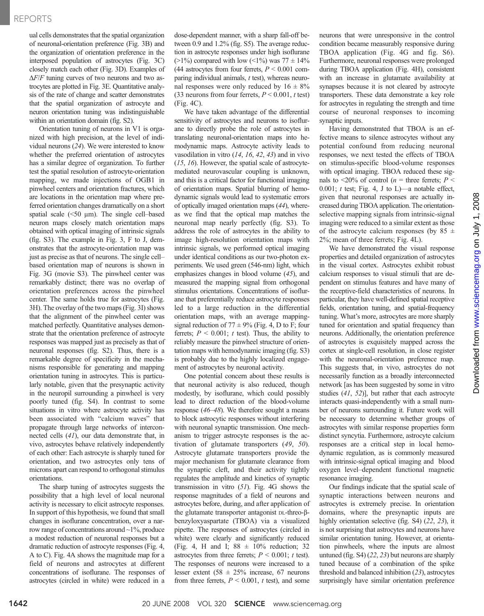## REPORTS

ual cells demonstrates that the spatial organization of neuronal-orientation preference (Fig. 3B) and the organization of orientation preference in the interposed population of astrocytes (Fig. 3C) closely match each other (Fig. 3D). Examples of  $\Delta F/F$  tuning curves of two neurons and two astrocytes are plotted in Fig. 3E. Quantitative analysis of the rate of change and scatter demonstrates that the spatial organization of astrocyte and neuron orientation tuning was indistinguishable within an orientation domain (fig. S2).

Orientation tuning of neurons in V1 is organized with high precision, at the level of individual neurons (24). We were interested to know whether the preferred orientation of astrocytes has a similar degree of organization. To further test the spatial resolution of astrocyte-orientation mapping, we made injections of OGB1 in pinwheel centers and orientation fractures, which are locations in the orientation map where preferred orientation changes dramatically on a short spatial scale  $(50 \mu m)$ . The single cell–based neuron maps closely match orientation maps obtained with optical imaging of intrinsic signals (fig. S3). The example in Fig. 3, F to J, demonstrates that the astrocyte-orientation map was just as precise as that of neurons. The single cell– based orientation map of neurons is shown in Fig. 3G (movie S3). The pinwheel center was remarkably distinct; there was no overlap of orientation preferences across the pinwheel center. The same holds true for astrocytes (Fig. 3H). The overlay of the two maps (Fig. 3I) shows that the alignment of the pinwheel center was matched perfectly. Quantitative analyses demonstrate that the orientation preference of astrocyte responses was mapped just as precisely as that of neuronal responses (fig. S2). Thus, there is a remarkable degree of specificity in the mechanisms responsible for generating and mapping orientation tuning in astrocytes. This is particularly notable, given that the presynaptic activity in the neuropil surrounding a pinwheel is very poorly tuned (fig. S4). In contrast to some situations in vitro where astrocyte activity has been associated with "calcium waves" that propagate through large networks of interconnected cells (41), our data demonstrate that, in vivo, astrocytes behave relatively independently of each other: Each astrocyte is sharply tuned for orientation, and two astrocytes only tens of microns apart can respond to orthogonal stimulus orientations.

The sharp tuning of astrocytes suggests the possibility that a high level of local neuronal activity is necessary to elicit astrocyte responses. In support of this hypothesis, we found that small changes in isoflurane concentration, over a narrow range of concentrations around ~1%, produce a modest reduction of neuronal responses but a dramatic reduction of astrocyte responses (Fig. 4, A to C). Fig. 4A shows the magnitude map for a field of neurons and astrocytes at different concentrations of isoflurane. The responses of astrocytes (circled in white) were reduced in a

dose-dependent manner, with a sharp fall-off between 0.9 and 1.2% (fig. S5). The average reduction in astrocyte responses under high isoflurane  $(>1\%)$  compared with low  $(<1\%)$  was  $77 \pm 14\%$ (44 astrocytes from four ferrets,  $P \le 0.001$  comparing individual animals, t test), whereas neuronal responses were only reduced by  $16 \pm 8\%$ (33 neurons from four ferrets,  $P < 0.001$ , t test) (Fig. 4C).

We have taken advantage of the differential sensitivity of astrocytes and neurons to isoflurane to directly probe the role of astrocytes in translating neuronal-orientation maps into hemodynamic maps. Astrocyte activity leads to vasodilation in vitro  $(14, 16, 42, 43)$  and in vivo (15, 16). However, the spatial scale of astrocytemediated neurovascular coupling is unknown, and this is a critical factor for functional imaging of orientation maps. Spatial blurring of hemodynamic signals would lead to systematic errors of optically imaged orientation maps (44), whereas we find that the optical map matches the neuronal map nearly perfectly (fig. S3). To address the role of astrocytes in the ability to image high-resolution orientation maps with intrinsic signals, we performed optical imaging under identical conditions as our two-photon experiments. We used green (546-nm) light, which emphasizes changes in blood volume (45), and measured the mapping signal from orthogonal stimulus orientations. Concentrations of isoflurane that preferentially reduce astrocyte responses led to a large reduction in the differential orientation maps, with an average mappingsignal reduction of  $77 \pm 9\%$  (Fig. 4, D to F; four ferrets;  $P \le 0.001$ ; t test). Thus, the ability to reliably measure the pinwheel structure of orientation maps with hemodynamic imaging (fig. S3) is probably due to the highly localized engagement of astrocytes by neuronal activity.

One potential concern about these results is that neuronal activity is also reduced, though modestly, by isoflurane, which could possibly lead to direct reduction of the blood-volume response (46–48). We therefore sought a means to block astrocytic responses without interfering with neuronal synaptic transmission. One mechanism to trigger astrocyte responses is the activation of glutamate transporters (49, 50). Astrocyte glutamate transporters provide the major mechanism for glutamate clearance from the synaptic cleft, and their activity tightly regulates the amplitude and kinetics of synaptic transmission in vitro  $(51)$ . Fig. 4G shows the response magnitudes of a field of neurons and astrocytes before, during, and after application of the glutamate transporter antagonist DL-threo-βbenzyloxyaspartate (TBOA) via a visualized pipette. The responses of astrocytes (circled in white) were clearly and significantly reduced (Fig. 4, H and I;  $88 \pm 10\%$  reduction; 32 astrocytes from three ferrets;  $P \le 0.001$ ; t test). The responses of neurons were increased to a lesser extent (58  $\pm$  25% increase, 67 neurons from three ferrets,  $P \le 0.001$ , t test), and some

neurons that were unresponsive in the control condition became measurably responsive during TBOA application (Fig. 4G and fig. S6). Furthermore, neuronal responses were prolonged during TBOA application (Fig. 4H), consistent with an increase in glutamate availability at synapses because it is not cleared by astrocyte transporters. These data demonstrate a key role for astrocytes in regulating the strength and time course of neuronal responses to incoming synaptic inputs.

Having demonstrated that TBOA is an effective means to silence astrocytes without any potential confound from reducing neuronal responses, we next tested the effects of TBOA on stimulus-specific blood-volume responses with optical imaging. TBOA reduced these signals to  $\langle 20\%$  of control (*n* = three ferrets; *P*  $\langle$ 0.001;  $t$  test; Fig. 4, J to L)—a notable effect, given that neuronal responses are actually increased during TBOA application. The orientationselective mapping signals from intrinsic-signal imaging were reduced to a similar extent as those of the astrocyte calcium responses (by  $85 \pm$ 2%; mean of three ferrets; Fig. 4L).

We have demonstrated the visual response properties and detailed organization of astrocytes in the visual cortex. Astrocytes exhibit robust calcium responses to visual stimuli that are dependent on stimulus features and have many of the receptive-field characteristics of neurons. In particular, they have well-defined spatial receptive fields, orientation tuning, and spatial-frequency tuning. What's more, astrocytes are more sharply tuned for orientation and spatial frequency than neurons. Additionally, the orientation preference of astrocytes is exquisitely mapped across the cortex at single-cell resolution, in close register with the neuronal-orientation preference map. This suggests that, in vivo, astrocytes do not necessarily function as a broadly interconnected network [as has been suggested by some in vitro studies (41, 52)], but rather that each astrocyte interacts quasi-independently with a small number of neurons surrounding it. Future work will be necessary to determine whether groups of astrocytes with similar response properties form distinct syncytia. Furthermore, astrocyte calcium responses are a critical step in local hemodynamic regulation, as is commonly measured with intrinsic-signal optical imaging and blood oxygen level–dependent functional magnetic resonance imaging.

Our findings indicate that the spatial scale of synaptic interactions between neurons and astrocytes is extremely precise. In orientation domains, where the presynaptic inputs are highly orientation selective (fig. S4) (22, 23), it is not surprising that astrocytes and neurons have similar orientation tuning. However, at orientation pinwheels, where the inputs are almost untuned (fig. S4) (22, 23) but neurons are sharply tuned because of a combination of the spike threshold and balanced inhibition (23), astrocytes surprisingly have similar orientation preference